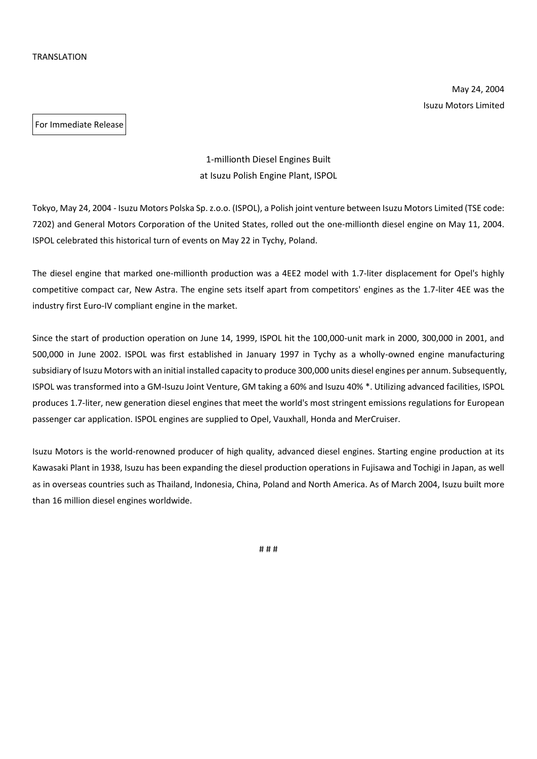May 24, 2004 Isuzu Motors Limited

For Immediate Release

1-millionth Diesel Engines Built at Isuzu Polish Engine Plant, ISPOL

Tokyo, May 24, 2004 - Isuzu Motors Polska Sp. z.o.o. (ISPOL), a Polish joint venture between Isuzu Motors Limited (TSE code: 7202) and General Motors Corporation of the United States, rolled out the one-millionth diesel engine on May 11, 2004. ISPOL celebrated this historical turn of events on May 22 in Tychy, Poland.

The diesel engine that marked one-millionth production was a 4EE2 model with 1.7-liter displacement for Opel's highly competitive compact car, New Astra. The engine sets itself apart from competitors' engines as the 1.7-liter 4EE was the industry first Euro-IV compliant engine in the market.

Since the start of production operation on June 14, 1999, ISPOL hit the 100,000-unit mark in 2000, 300,000 in 2001, and 500,000 in June 2002. ISPOL was first established in January 1997 in Tychy as a wholly-owned engine manufacturing subsidiary of Isuzu Motors with an initial installed capacity to produce 300,000 units diesel engines per annum. Subsequently, ISPOL was transformed into a GM-Isuzu Joint Venture, GM taking a 60% and Isuzu 40% \*. Utilizing advanced facilities, ISPOL produces 1.7-liter, new generation diesel engines that meet the world's most stringent emissions regulations for European passenger car application. ISPOL engines are supplied to Opel, Vauxhall, Honda and MerCruiser.

Isuzu Motors is the world-renowned producer of high quality, advanced diesel engines. Starting engine production at its Kawasaki Plant in 1938, Isuzu has been expanding the diesel production operations in Fujisawa and Tochigi in Japan, as well as in overseas countries such as Thailand, Indonesia, China, Poland and North America. As of March 2004, Isuzu built more than 16 million diesel engines worldwide.

# # #